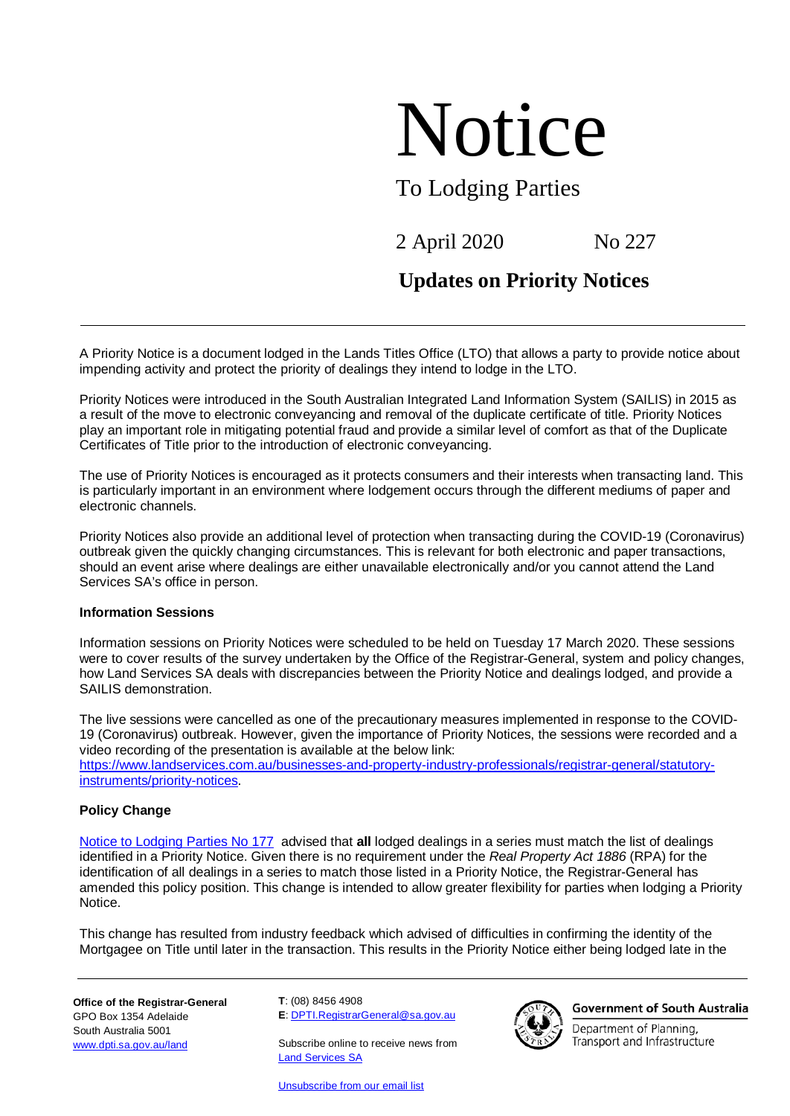# Notice

## To Lodging Parties

# 2 April 2020 No 227

## **Updates on Priority Notices**

A Priority Notice is a document lodged in the Lands Titles Office (LTO) that allows a party to provide notice about impending activity and protect the priority of dealings they intend to lodge in the LTO.

Priority Notices were introduced in the South Australian Integrated Land Information System (SAILIS) in 2015 as a result of the move to electronic conveyancing and removal of the duplicate certificate of title. Priority Notices play an important role in mitigating potential fraud and provide a similar level of comfort as that of the Duplicate Certificates of Title prior to the introduction of electronic conveyancing.

The use of Priority Notices is encouraged as it protects consumers and their interests when transacting land. This is particularly important in an environment where lodgement occurs through the different mediums of paper and electronic channels.

Priority Notices also provide an additional level of protection when transacting during the COVID-19 (Coronavirus) outbreak given the quickly changing circumstances. This is relevant for both electronic and paper transactions, should an event arise where dealings are either unavailable electronically and/or you cannot attend the Land Services SA's office in person.

### **Information Sessions**

Information sessions on Priority Notices were scheduled to be held on Tuesday 17 March 2020. These sessions were to cover results of the survey undertaken by the Office of the Registrar-General, system and policy changes, how Land Services SA deals with discrepancies between the Priority Notice and dealings lodged, and provide a SAILIS demonstration.

The live sessions were cancelled as one of the precautionary measures implemented in response to the COVID-19 (Coronavirus) outbreak. However, given the importance of Priority Notices, the sessions were recorded and a video recording of the presentation is available at the below link: [https://www.landservices.com.au/businesses-and-property-industry-professionals/registrar-general/statutory](https://www.landservices.com.au/businesses-and-property-industry-professionals/registrar-general/statutory-instruments/priority-notices)[instruments/priority-notices.](https://www.landservices.com.au/businesses-and-property-industry-professionals/registrar-general/statutory-instruments/priority-notices)

## **Policy Change**

[Notice to Lodging Parties No 177](https://landservices.com.au/__data/assets/pdf_file/0010/3070/Introduction-of-Priority-Notices.pdf) advised that **all** lodged dealings in a series must match the list of dealings identified in a Priority Notice. Given there is no requirement under the *Real Property Act 1886* (RPA) for the identification of all dealings in a series to match those listed in a Priority Notice, the Registrar-General has amended this policy position. This change is intended to allow greater flexibility for parties when lodging a Priority Notice.

This change has resulted from industry feedback which advised of difficulties in confirming the identity of the Mortgagee on Title until later in the transaction. This results in the Priority Notice either being lodged late in the

**Office of the Registrar-General** GPO Box 1354 Adelaide South Australia 5001 [www.dpti.sa.gov.au/land](http://www.dpti.sa.gov.au/land)

**T**: (08) 8456 4908 **E**: [DPTI.RegistrarGeneral@sa.gov.au](mailto:DPTI.RegistrarGeneral@sa.gov.au)

Subscribe online to receive news from [Land Services SA](https://landservices.com.au/newsroom/subscribe-to-land-services-sa)

[Unsubscribe from our email list](mailto:communications@landservices.com.au?subject=Unsubscribe)



**Government of South Australia** 

Department of Planning, Transport and Infrastructure